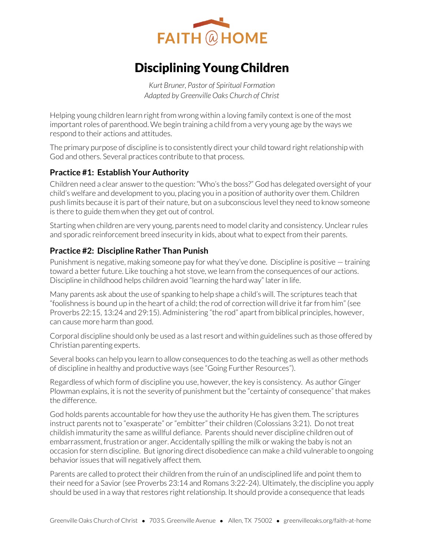

# Disciplining Young Children

*Kurt Bruner, Pastor of Spiritual Formation Adapted by Greenville Oaks Church of Christ* 

Helping young children learn right from wrong within a loving family context is one of the most important roles of parenthood. We begin training a child from a very young age by the ways we respond to their actions and attitudes.

The primary purpose of discipline is to consistently direct your child toward right relationship with God and others. Several practices contribute to that process.

### **Practice #1: Establish Your Authority**

Children need a clear answer to the question: "Who's the boss?" God has delegated oversight of your child's welfare and development to you, placing you in a position of authority over them. Children push limits because it is part of their nature, but on a subconscious level they need to know someone is there to guide them when they get out of control.

Starting when children are very young, parents need to model clarity and consistency. Unclear rules and sporadic reinforcement breed insecurity in kids, about what to expect from their parents.

### **Practice #2: Discipline Rather Than Punish**

Punishment is negative, making someone pay for what they've done. Discipline is positive — training toward a better future. Like touching a hot stove, we learn from the consequences of our actions. Discipline in childhood helps children avoid "learning the hard way" later in life.

Many parents ask about the use of spanking to help shape a child's will. The scriptures teach that "foolishness is bound up in the heart of a child; the rod of correction will drive it far from him" (see Proverbs 22:15, 13:24 and 29:15). Administering "the rod" apart from biblical principles, however, can cause more harm than good.

Corporal discipline should only be used as a last resort and within guidelines such as those offered by Christian parenting experts.

Several books can help you learn to allow consequences to do the teaching as well as other methods of discipline in healthy and productive ways (see "Going Further Resources").

Regardless of which form of discipline you use, however, the key is consistency. As author Ginger Plowman explains, it is not the severity of punishment but the "certainty of consequence" that makes the difference.

God holds parents accountable for how they use the authority He has given them. The scriptures instruct parents not to "exasperate" or "embitter" their children (Colossians 3:21). Do not treat childish immaturity the same as willful defiance. Parents should never discipline children out of embarrassment, frustration or anger. Accidentally spilling the milk or waking the baby is not an occasion for stern discipline. But ignoring direct disobedience can make a child vulnerable to ongoing behavior issues that will negatively affect them.

Parents are called to protect their children from the ruin of an undisciplined life and point them to their need for a Savior (see Proverbs 23:14 and Romans 3:22-24). Ultimately, the discipline you apply should be used in a way that restores right relationship. It should provide a consequence that leads